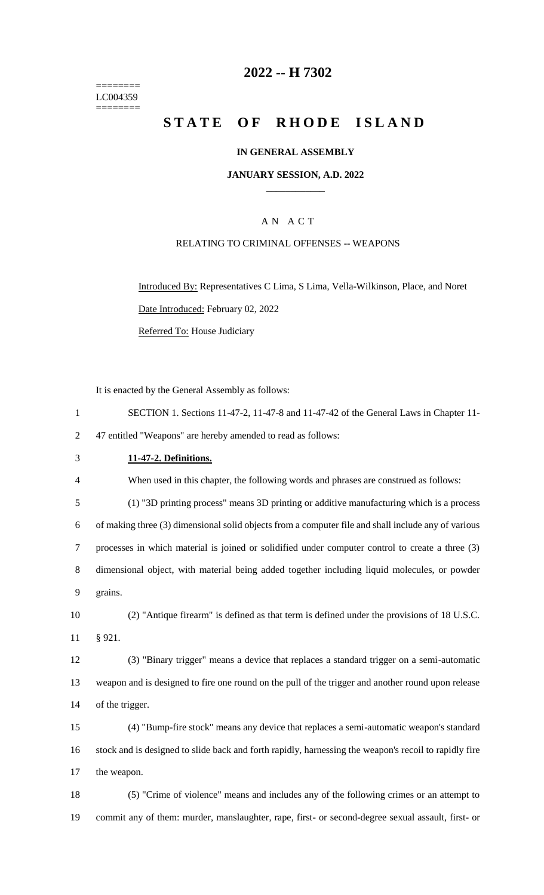======== LC004359  $=$ 

# **2022 -- H 7302**

# **STATE OF RHODE ISLAND**

### **IN GENERAL ASSEMBLY**

### **JANUARY SESSION, A.D. 2022 \_\_\_\_\_\_\_\_\_\_\_\_**

# A N A C T

### RELATING TO CRIMINAL OFFENSES -- WEAPONS

Introduced By: Representatives C Lima, S Lima, Vella-Wilkinson, Place, and Noret Date Introduced: February 02, 2022 Referred To: House Judiciary

It is enacted by the General Assembly as follows:

| $\mathbf{1}$   | SECTION 1. Sections 11-47-2, 11-47-8 and 11-47-42 of the General Laws in Chapter 11-                  |
|----------------|-------------------------------------------------------------------------------------------------------|
| $\overline{2}$ | 47 entitled "Weapons" are hereby amended to read as follows:                                          |
| 3              | 11-47-2. Definitions.                                                                                 |
| 4              | When used in this chapter, the following words and phrases are construed as follows:                  |
| 5              | (1) "3D printing process" means 3D printing or additive manufacturing which is a process              |
| 6              | of making three (3) dimensional solid objects from a computer file and shall include any of various   |
| 7              | processes in which material is joined or solidified under computer control to create a three (3)      |
| 8              | dimensional object, with material being added together including liquid molecules, or powder          |
| 9              | grains.                                                                                               |
| 10             | (2) "Antique firearm" is defined as that term is defined under the provisions of 18 U.S.C.            |
| 11             | § 921.                                                                                                |
| 12             | (3) "Binary trigger" means a device that replaces a standard trigger on a semi-automatic              |
| 13             | weapon and is designed to fire one round on the pull of the trigger and another round upon release    |
| 14             | of the trigger.                                                                                       |
| 15             | (4) "Bump-fire stock" means any device that replaces a semi-automatic weapon's standard               |
| 16             | stock and is designed to slide back and forth rapidly, harnessing the weapon's recoil to rapidly fire |
| 17             | the weapon.                                                                                           |
| 18             | (5) "Crime of violence" means and includes any of the following crimes or an attempt to               |
| 19             | commit any of them: murder, manslaughter, rape, first- or second-degree sexual assault, first- or     |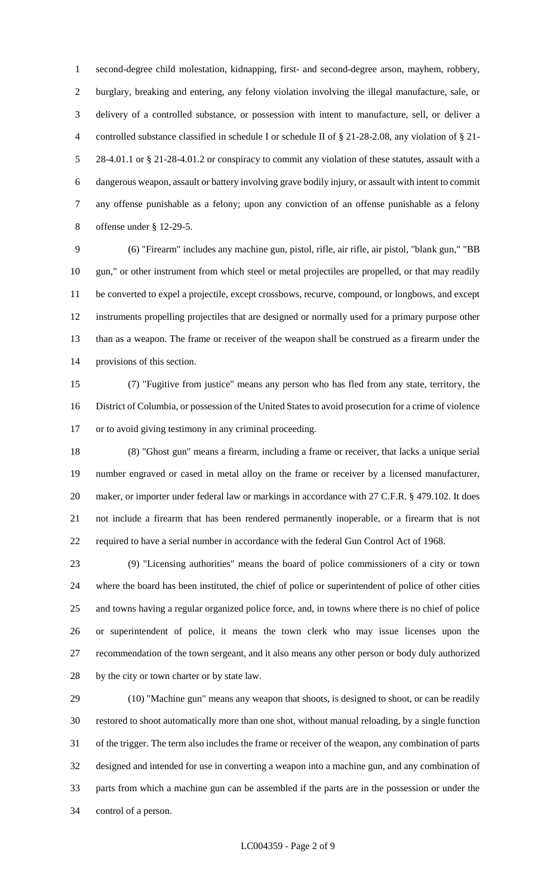second-degree child molestation, kidnapping, first- and second-degree arson, mayhem, robbery, burglary, breaking and entering, any felony violation involving the illegal manufacture, sale, or delivery of a controlled substance, or possession with intent to manufacture, sell, or deliver a controlled substance classified in schedule I or schedule II of § 21-28-2.08, any violation of § 21- 28-4.01.1 or § 21-28-4.01.2 or conspiracy to commit any violation of these statutes, assault with a dangerous weapon, assault or battery involving grave bodily injury, or assault with intent to commit any offense punishable as a felony; upon any conviction of an offense punishable as a felony offense under § 12-29-5.

 (6) "Firearm" includes any machine gun, pistol, rifle, air rifle, air pistol, "blank gun," "BB gun," or other instrument from which steel or metal projectiles are propelled, or that may readily be converted to expel a projectile, except crossbows, recurve, compound, or longbows, and except instruments propelling projectiles that are designed or normally used for a primary purpose other than as a weapon. The frame or receiver of the weapon shall be construed as a firearm under the provisions of this section.

 (7) "Fugitive from justice" means any person who has fled from any state, territory, the District of Columbia, or possession of the United States to avoid prosecution for a crime of violence or to avoid giving testimony in any criminal proceeding.

 (8) "Ghost gun" means a firearm, including a frame or receiver, that lacks a unique serial number engraved or cased in metal alloy on the frame or receiver by a licensed manufacturer, 20 maker, or importer under federal law or markings in accordance with 27 C.F.R. § 479.102. It does not include a firearm that has been rendered permanently inoperable, or a firearm that is not required to have a serial number in accordance with the federal Gun Control Act of 1968.

 (9) "Licensing authorities" means the board of police commissioners of a city or town where the board has been instituted, the chief of police or superintendent of police of other cities and towns having a regular organized police force, and, in towns where there is no chief of police or superintendent of police, it means the town clerk who may issue licenses upon the recommendation of the town sergeant, and it also means any other person or body duly authorized by the city or town charter or by state law.

 (10) "Machine gun" means any weapon that shoots, is designed to shoot, or can be readily restored to shoot automatically more than one shot, without manual reloading, by a single function of the trigger. The term also includes the frame or receiver of the weapon, any combination of parts designed and intended for use in converting a weapon into a machine gun, and any combination of parts from which a machine gun can be assembled if the parts are in the possession or under the control of a person.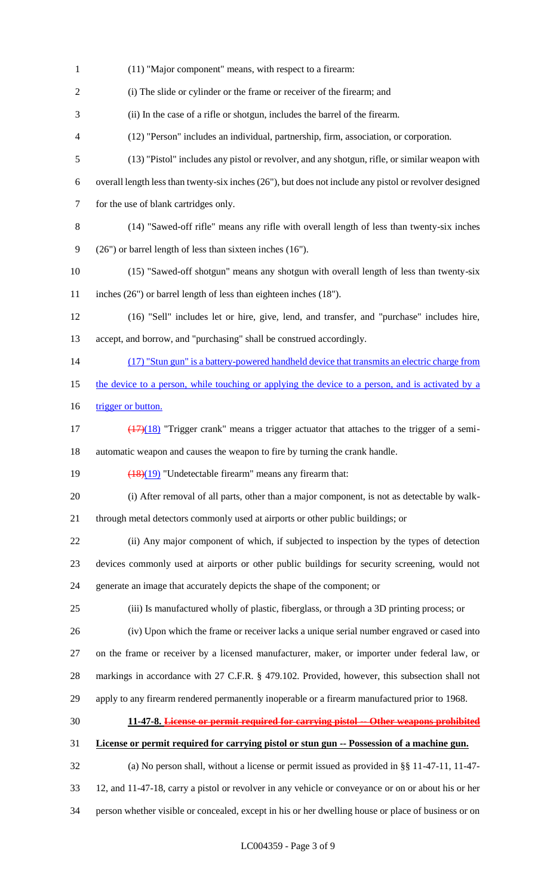(11) "Major component" means, with respect to a firearm: (i) The slide or cylinder or the frame or receiver of the firearm; and (ii) In the case of a rifle or shotgun, includes the barrel of the firearm. (12) "Person" includes an individual, partnership, firm, association, or corporation. (13) "Pistol" includes any pistol or revolver, and any shotgun, rifle, or similar weapon with overall length less than twenty-six inches (26"), but does not include any pistol or revolver designed for the use of blank cartridges only. (14) "Sawed-off rifle" means any rifle with overall length of less than twenty-six inches (26") or barrel length of less than sixteen inches (16"). (15) "Sawed-off shotgun" means any shotgun with overall length of less than twenty-six inches (26") or barrel length of less than eighteen inches (18"). (16) "Sell" includes let or hire, give, lend, and transfer, and "purchase" includes hire, accept, and borrow, and "purchasing" shall be construed accordingly. 14 (17) "Stun gun" is a battery-powered handheld device that transmits an electric charge from 15 the device to a person, while touching or applying the device to a person, and is activated by a 16 trigger or button.  $\left(\frac{(17)(18)}{17}\right)$  "Trigger crank" means a trigger actuator that attaches to the trigger of a semi- automatic weapon and causes the weapon to fire by turning the crank handle.  $\left(\frac{(18)(19)}{(18)(19)}\right)$  "Undetectable firearm" means any firearm that: (i) After removal of all parts, other than a major component, is not as detectable by walk- through metal detectors commonly used at airports or other public buildings; or (ii) Any major component of which, if subjected to inspection by the types of detection devices commonly used at airports or other public buildings for security screening, would not generate an image that accurately depicts the shape of the component; or (iii) Is manufactured wholly of plastic, fiberglass, or through a 3D printing process; or (iv) Upon which the frame or receiver lacks a unique serial number engraved or cased into on the frame or receiver by a licensed manufacturer, maker, or importer under federal law, or markings in accordance with 27 C.F.R. § 479.102. Provided, however, this subsection shall not apply to any firearm rendered permanently inoperable or a firearm manufactured prior to 1968. **11-47-8. License or permit required for carrying pistol -- Other weapons prohibited License or permit required for carrying pistol or stun gun -- Possession of a machine gun.** (a) No person shall, without a license or permit issued as provided in §§ 11-47-11, 11-47- 12, and 11-47-18, carry a pistol or revolver in any vehicle or conveyance or on or about his or her person whether visible or concealed, except in his or her dwelling house or place of business or on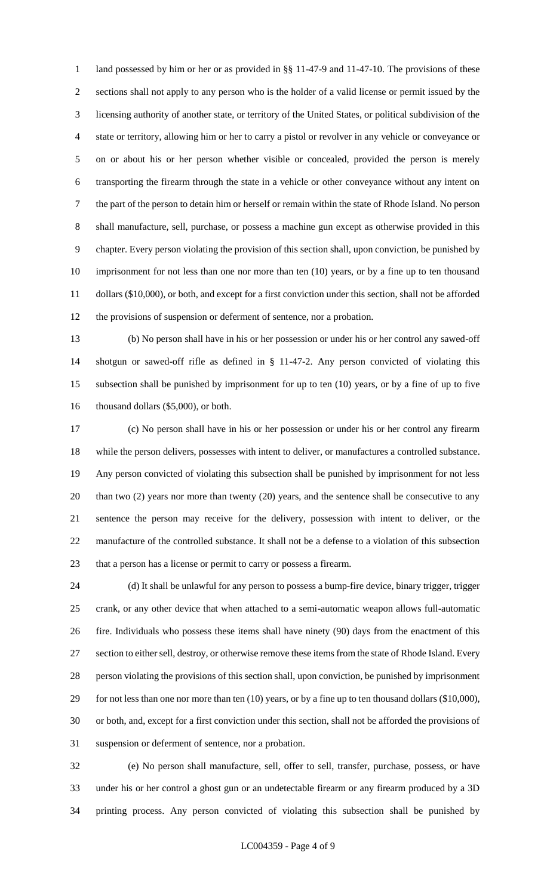1 land possessed by him or her or as provided in §§ 11-47-9 and 11-47-10. The provisions of these sections shall not apply to any person who is the holder of a valid license or permit issued by the licensing authority of another state, or territory of the United States, or political subdivision of the state or territory, allowing him or her to carry a pistol or revolver in any vehicle or conveyance or on or about his or her person whether visible or concealed, provided the person is merely transporting the firearm through the state in a vehicle or other conveyance without any intent on the part of the person to detain him or herself or remain within the state of Rhode Island. No person shall manufacture, sell, purchase, or possess a machine gun except as otherwise provided in this chapter. Every person violating the provision of this section shall, upon conviction, be punished by imprisonment for not less than one nor more than ten (10) years, or by a fine up to ten thousand dollars (\$10,000), or both, and except for a first conviction under this section, shall not be afforded the provisions of suspension or deferment of sentence, nor a probation.

 (b) No person shall have in his or her possession or under his or her control any sawed-off shotgun or sawed-off rifle as defined in § 11-47-2. Any person convicted of violating this subsection shall be punished by imprisonment for up to ten (10) years, or by a fine of up to five 16 thousand dollars (\$5,000), or both.

 (c) No person shall have in his or her possession or under his or her control any firearm while the person delivers, possesses with intent to deliver, or manufactures a controlled substance. Any person convicted of violating this subsection shall be punished by imprisonment for not less than two (2) years nor more than twenty (20) years, and the sentence shall be consecutive to any sentence the person may receive for the delivery, possession with intent to deliver, or the manufacture of the controlled substance. It shall not be a defense to a violation of this subsection that a person has a license or permit to carry or possess a firearm.

 (d) It shall be unlawful for any person to possess a bump-fire device, binary trigger, trigger crank, or any other device that when attached to a semi-automatic weapon allows full-automatic fire. Individuals who possess these items shall have ninety (90) days from the enactment of this 27 section to either sell, destroy, or otherwise remove these items from the state of Rhode Island. Every person violating the provisions of this section shall, upon conviction, be punished by imprisonment 29 for not less than one nor more than ten (10) years, or by a fine up to ten thousand dollars (\$10,000), or both, and, except for a first conviction under this section, shall not be afforded the provisions of suspension or deferment of sentence, nor a probation.

 (e) No person shall manufacture, sell, offer to sell, transfer, purchase, possess, or have under his or her control a ghost gun or an undetectable firearm or any firearm produced by a 3D printing process. Any person convicted of violating this subsection shall be punished by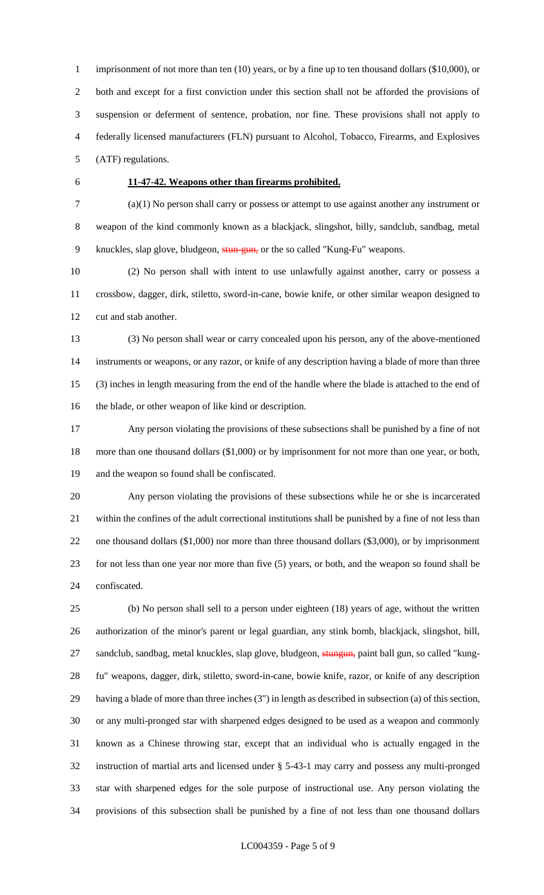1 imprisonment of not more than ten (10) years, or by a fine up to ten thousand dollars (\$10,000), or both and except for a first conviction under this section shall not be afforded the provisions of suspension or deferment of sentence, probation, nor fine. These provisions shall not apply to federally licensed manufacturers (FLN) pursuant to Alcohol, Tobacco, Firearms, and Explosives (ATF) regulations.

### **11-47-42. Weapons other than firearms prohibited.**

 (a)(1) No person shall carry or possess or attempt to use against another any instrument or weapon of the kind commonly known as a blackjack, slingshot, billy, sandclub, sandbag, metal knuckles, slap glove, bludgeon, stun-gun, or the so called "Kung-Fu" weapons.

 (2) No person shall with intent to use unlawfully against another, carry or possess a crossbow, dagger, dirk, stiletto, sword-in-cane, bowie knife, or other similar weapon designed to cut and stab another.

 (3) No person shall wear or carry concealed upon his person, any of the above-mentioned instruments or weapons, or any razor, or knife of any description having a blade of more than three (3) inches in length measuring from the end of the handle where the blade is attached to the end of the blade, or other weapon of like kind or description.

 Any person violating the provisions of these subsections shall be punished by a fine of not more than one thousand dollars (\$1,000) or by imprisonment for not more than one year, or both, and the weapon so found shall be confiscated.

 Any person violating the provisions of these subsections while he or she is incarcerated within the confines of the adult correctional institutions shall be punished by a fine of not less than one thousand dollars (\$1,000) nor more than three thousand dollars (\$3,000), or by imprisonment for not less than one year nor more than five (5) years, or both, and the weapon so found shall be confiscated.

 (b) No person shall sell to a person under eighteen (18) years of age, without the written authorization of the minor's parent or legal guardian, any stink bomb, blackjack, slingshot, bill, 27 sandclub, sandbag, metal knuckles, slap glove, bludgeon, stungun, paint ball gun, so called "kung- fu" weapons, dagger, dirk, stiletto, sword-in-cane, bowie knife, razor, or knife of any description having a blade of more than three inches (3") in length as described in subsection (a) of this section, or any multi-pronged star with sharpened edges designed to be used as a weapon and commonly known as a Chinese throwing star, except that an individual who is actually engaged in the instruction of martial arts and licensed under § 5-43-1 may carry and possess any multi-pronged star with sharpened edges for the sole purpose of instructional use. Any person violating the provisions of this subsection shall be punished by a fine of not less than one thousand dollars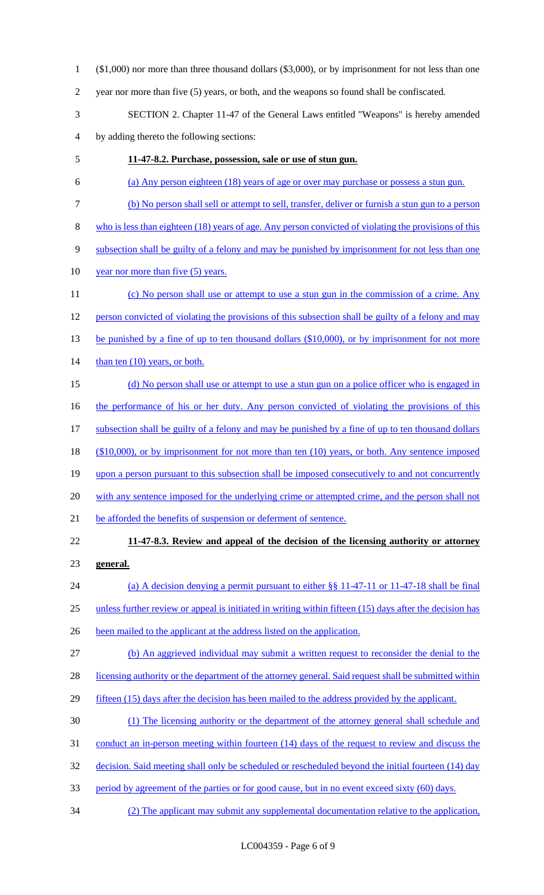- 1 (\$1,000) nor more than three thousand dollars (\$3,000), or by imprisonment for not less than one
- 2 year nor more than five (5) years, or both, and the weapons so found shall be confiscated.
- 3 SECTION 2. Chapter 11-47 of the General Laws entitled "Weapons" is hereby amended 4 by adding thereto the following sections:
- 5 **11-47-8.2. Purchase, possession, sale or use of stun gun.**
- 6 (a) Any person eighteen (18) years of age or over may purchase or possess a stun gun.
- 7 (b) No person shall sell or attempt to sell, transfer, deliver or furnish a stun gun to a person
- 8 who is less than eighteen (18) years of age. Any person convicted of violating the provisions of this
- 9 subsection shall be guilty of a felony and may be punished by imprisonment for not less than one
- 10 year nor more than five (5) years.
- 11 (c) No person shall use or attempt to use a stun gun in the commission of a crime. Any 12 person convicted of violating the provisions of this subsection shall be guilty of a felony and may 13 be punished by a fine of up to ten thousand dollars (\$10,000), or by imprisonment for not more 14 than ten (10) years, or both. 15 (d) No person shall use or attempt to use a stun gun on a police officer who is engaged in
- 16 the performance of his or her duty. Any person convicted of violating the provisions of this
- 17 subsection shall be guilty of a felony and may be punished by a fine of up to ten thousand dollars
- 18 (\$10,000), or by imprisonment for not more than ten (10) years, or both. Any sentence imposed
- 19 upon a person pursuant to this subsection shall be imposed consecutively to and not concurrently
- 20 with any sentence imposed for the underlying crime or attempted crime, and the person shall not
- 21 be afforded the benefits of suspension or deferment of sentence.
- 

# 22 **11-47-8.3. Review and appeal of the decision of the licensing authority or attorney**

- 23 **general.**
- 24 (a) A decision denying a permit pursuant to either §§ 11-47-11 or 11-47-18 shall be final 25 unless further review or appeal is initiated in writing within fifteen (15) days after the decision has
- 26 been mailed to the applicant at the address listed on the application.
- 27 (b) An aggrieved individual may submit a written request to reconsider the denial to the
- 28 licensing authority or the department of the attorney general. Said request shall be submitted within
- 29 fifteen (15) days after the decision has been mailed to the address provided by the applicant.
- 30 (1) The licensing authority or the department of the attorney general shall schedule and
- 31 conduct an in-person meeting within fourteen (14) days of the request to review and discuss the
- 32 decision. Said meeting shall only be scheduled or rescheduled beyond the initial fourteen (14) day
- 33 period by agreement of the parties or for good cause, but in no event exceed sixty (60) days.
- 34 (2) The applicant may submit any supplemental documentation relative to the application,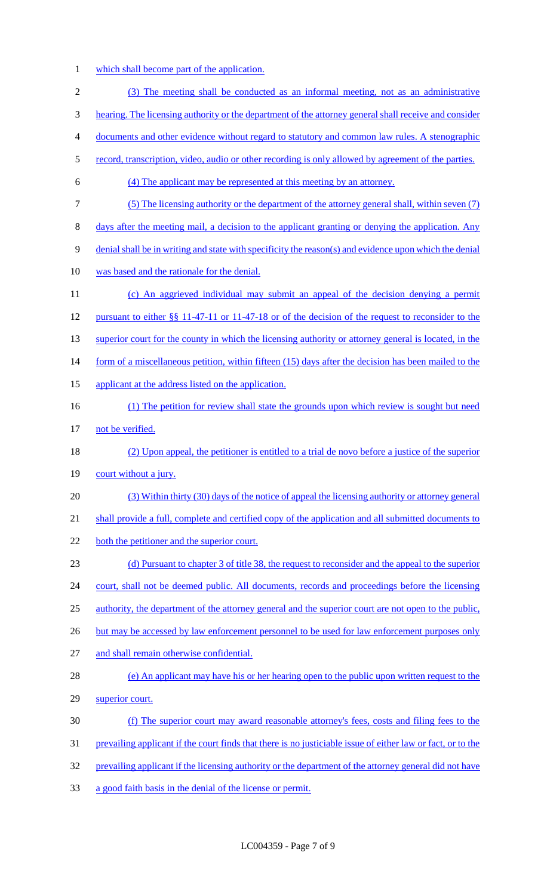1 which shall become part of the application.

| $\mathfrak{2}$ | (3) The meeting shall be conducted as an informal meeting, not as an administrative                         |
|----------------|-------------------------------------------------------------------------------------------------------------|
| 3              | hearing. The licensing authority or the department of the attorney general shall receive and consider       |
| $\overline{4}$ | documents and other evidence without regard to statutory and common law rules. A stenographic               |
| 5              | record, transcription, video, audio or other recording is only allowed by agreement of the parties.         |
| 6              | (4) The applicant may be represented at this meeting by an attorney.                                        |
| 7              | (5) The licensing authority or the department of the attorney general shall, within seven (7)               |
| 8              | days after the meeting mail, a decision to the applicant granting or denying the application. Any           |
| 9              | denial shall be in writing and state with specificity the reason(s) and evidence upon which the denial      |
| 10             | was based and the rationale for the denial.                                                                 |
| 11             | (c) An aggrieved individual may submit an appeal of the decision denying a permit                           |
| 12             | pursuant to either §§ 11-47-11 or 11-47-18 or of the decision of the request to reconsider to the           |
| 13             | superior court for the county in which the licensing authority or attorney general is located, in the       |
| 14             | form of a miscellaneous petition, within fifteen (15) days after the decision has been mailed to the        |
| 15             | applicant at the address listed on the application.                                                         |
| 16             | (1) The petition for review shall state the grounds upon which review is sought but need                    |
| 17             | not be verified.                                                                                            |
| 18             | (2) Upon appeal, the petitioner is entitled to a trial de novo before a justice of the superior             |
| 19             | court without a jury.                                                                                       |
| 20             | (3) Within thirty (30) days of the notice of appeal the licensing authority or attorney general             |
| 21             | shall provide a full, complete and certified copy of the application and all submitted documents to         |
| 22             | both the petitioner and the superior court.                                                                 |
| 23             | (d) Pursuant to chapter 3 of title 38, the request to reconsider and the appeal to the superior             |
| 24             | court, shall not be deemed public. All documents, records and proceedings before the licensing              |
| 25             | authority, the department of the attorney general and the superior court are not open to the public,        |
| 26             | but may be accessed by law enforcement personnel to be used for law enforcement purposes only               |
| 27             | and shall remain otherwise confidential.                                                                    |
| 28             | (e) An applicant may have his or her hearing open to the public upon written request to the                 |
| 29             | superior court.                                                                                             |
| 30             | (f) The superior court may award reasonable attorney's fees, costs and filing fees to the                   |
| 31             | prevailing applicant if the court finds that there is no justiciable issue of either law or fact, or to the |
| 32             | prevailing applicant if the licensing authority or the department of the attorney general did not have      |
| 33             | a good faith basis in the denial of the license or permit.                                                  |
|                |                                                                                                             |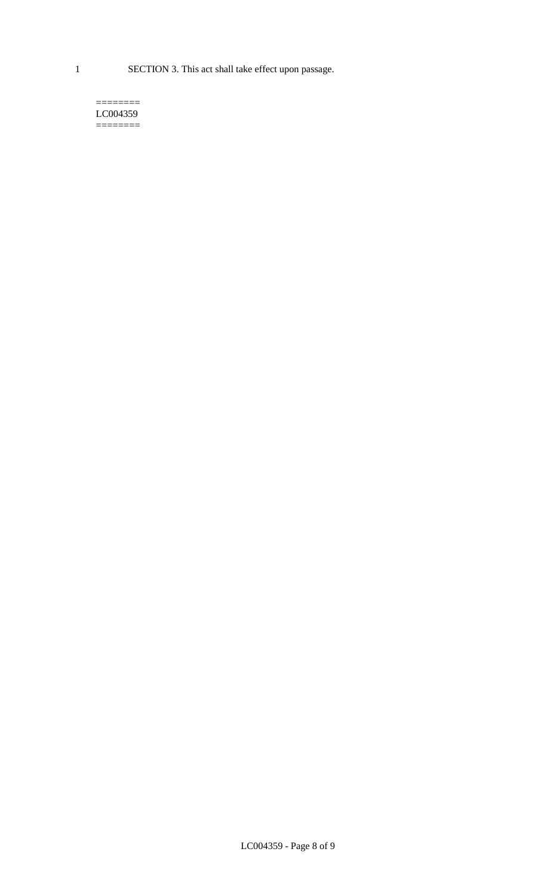1 SECTION 3. This act shall take effect upon passage.

#### $=$ LC004359  $=$

LC004359 - Page 8 of 9